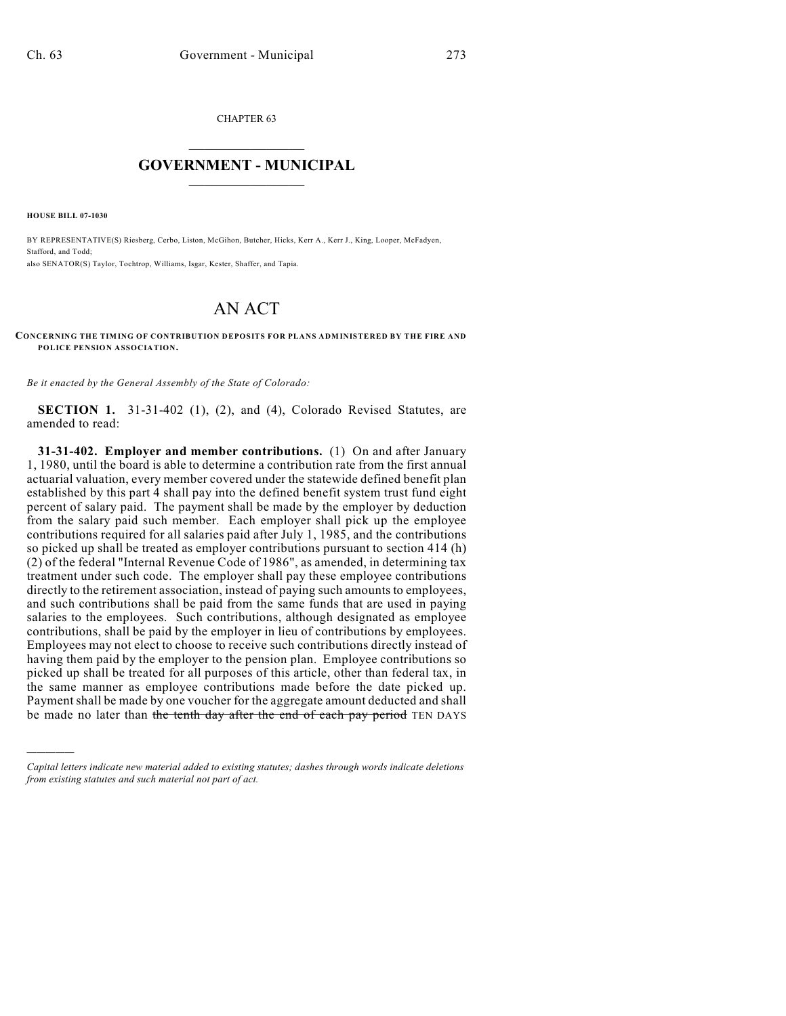CHAPTER 63

## $\overline{\phantom{a}}$  . The set of the set of the set of the set of the set of the set of the set of the set of the set of the set of the set of the set of the set of the set of the set of the set of the set of the set of the set o **GOVERNMENT - MUNICIPAL**  $\_$

**HOUSE BILL 07-1030**

)))))

BY REPRESENTATIVE(S) Riesberg, Cerbo, Liston, McGihon, Butcher, Hicks, Kerr A., Kerr J., King, Looper, McFadyen, Stafford, and Todd; also SENATOR(S) Taylor, Tochtrop, Williams, Isgar, Kester, Shaffer, and Tapia.

## AN ACT

**CONCERNING THE TIMING OF CONTRIBUTION DEPOSITS FOR PLANS ADMINISTERED BY THE FIRE AND POLICE PENSION ASSOCIATION.**

*Be it enacted by the General Assembly of the State of Colorado:*

**SECTION 1.** 31-31-402 (1), (2), and (4), Colorado Revised Statutes, are amended to read:

**31-31-402. Employer and member contributions.** (1) On and after January 1, 1980, until the board is able to determine a contribution rate from the first annual actuarial valuation, every member covered under the statewide defined benefit plan established by this part 4 shall pay into the defined benefit system trust fund eight percent of salary paid. The payment shall be made by the employer by deduction from the salary paid such member. Each employer shall pick up the employee contributions required for all salaries paid after July 1, 1985, and the contributions so picked up shall be treated as employer contributions pursuant to section 414 (h) (2) of the federal "Internal Revenue Code of 1986", as amended, in determining tax treatment under such code. The employer shall pay these employee contributions directly to the retirement association, instead of paying such amounts to employees, and such contributions shall be paid from the same funds that are used in paying salaries to the employees. Such contributions, although designated as employee contributions, shall be paid by the employer in lieu of contributions by employees. Employees may not elect to choose to receive such contributions directly instead of having them paid by the employer to the pension plan. Employee contributions so picked up shall be treated for all purposes of this article, other than federal tax, in the same manner as employee contributions made before the date picked up. Payment shall be made by one voucher for the aggregate amount deducted and shall be made no later than the tenth day after the end of each pay period TEN DAYS

*Capital letters indicate new material added to existing statutes; dashes through words indicate deletions from existing statutes and such material not part of act.*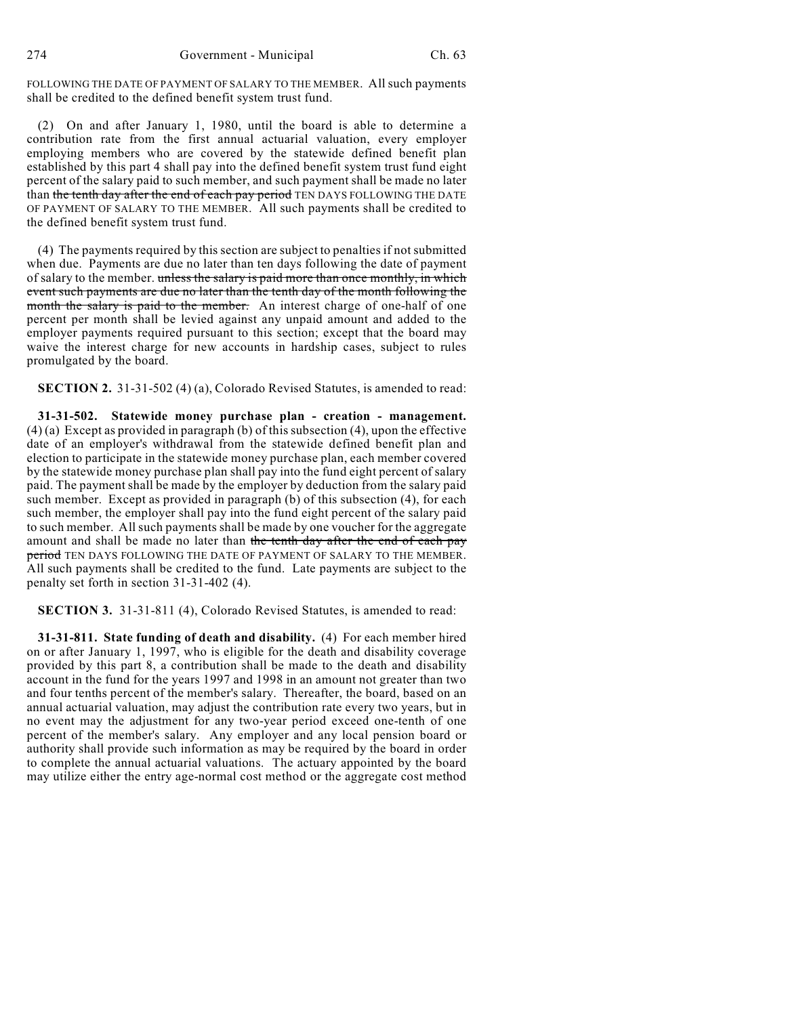FOLLOWING THE DATE OF PAYMENT OF SALARY TO THE MEMBER. All such payments shall be credited to the defined benefit system trust fund.

(2) On and after January 1, 1980, until the board is able to determine a contribution rate from the first annual actuarial valuation, every employer employing members who are covered by the statewide defined benefit plan established by this part 4 shall pay into the defined benefit system trust fund eight percent of the salary paid to such member, and such payment shall be made no later than the tenth day after the end of each pay period TEN DAYS FOLLOWING THE DATE OF PAYMENT OF SALARY TO THE MEMBER. All such payments shall be credited to the defined benefit system trust fund.

(4) The payments required by this section are subject to penalties if not submitted when due. Payments are due no later than ten days following the date of payment of salary to the member. unless the salary is paid more than once monthly, in which event such payments are due no later than the tenth day of the month following the month the salary is paid to the member. An interest charge of one-half of one percent per month shall be levied against any unpaid amount and added to the employer payments required pursuant to this section; except that the board may waive the interest charge for new accounts in hardship cases, subject to rules promulgated by the board.

**SECTION 2.** 31-31-502 (4) (a), Colorado Revised Statutes, is amended to read:

**31-31-502. Statewide money purchase plan - creation - management.** (4) (a) Except as provided in paragraph (b) of this subsection (4), upon the effective date of an employer's withdrawal from the statewide defined benefit plan and election to participate in the statewide money purchase plan, each member covered by the statewide money purchase plan shall pay into the fund eight percent of salary paid. The payment shall be made by the employer by deduction from the salary paid such member. Except as provided in paragraph (b) of this subsection (4), for each such member, the employer shall pay into the fund eight percent of the salary paid to such member. All such payments shall be made by one voucher for the aggregate amount and shall be made no later than the tenth day after the end of each pay period TEN DAYS FOLLOWING THE DATE OF PAYMENT OF SALARY TO THE MEMBER. All such payments shall be credited to the fund. Late payments are subject to the penalty set forth in section 31-31-402 (4).

**SECTION 3.** 31-31-811 (4), Colorado Revised Statutes, is amended to read:

**31-31-811. State funding of death and disability.** (4) For each member hired on or after January 1, 1997, who is eligible for the death and disability coverage provided by this part 8, a contribution shall be made to the death and disability account in the fund for the years 1997 and 1998 in an amount not greater than two and four tenths percent of the member's salary. Thereafter, the board, based on an annual actuarial valuation, may adjust the contribution rate every two years, but in no event may the adjustment for any two-year period exceed one-tenth of one percent of the member's salary. Any employer and any local pension board or authority shall provide such information as may be required by the board in order to complete the annual actuarial valuations. The actuary appointed by the board may utilize either the entry age-normal cost method or the aggregate cost method